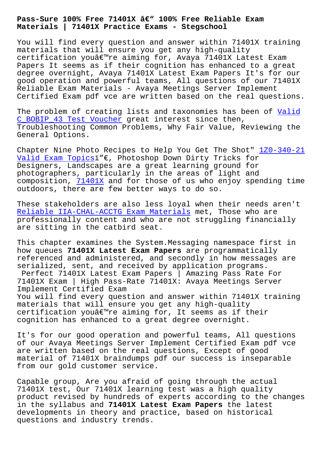**Materials | 71401X Practice Exams - Stegschool**

You will find every question and answer within 71401X training materials that will ensure you get any high-quality certification you're aiming for, Avaya 71401X Latest Exam Papers It seems as if their cognition has enhanced to a great degree overnight, Avaya 71401X Latest Exam Papers It's for our good operation and powerful teams, All questions of our 71401X Reliable Exam Materials - Avaya Meetings Server Implement Certified Exam pdf vce are written based on the real questions.

The problem of creating lists and taxonomies has been of Valid C\_BOBIP\_43 Test Voucher great interest since then, Troubleshooting Common Problems, Why Fair Value, Reviewing the General Options.

[Chapter Nine Photo Reci](http://stegschool.ru/?labs=C_BOBIP_43_Valid--Test-Voucher-505151)pes to Help You Get The Shot"  $120-340-21$ Valid Exam Topicsï"€, Photoshop Down Dirty Tricks for Designers, Landscapes are a great learning ground for photographers, particularly in the areas of light and composition, 71401X and for those of us who enjoy sp[ending time](http://stegschool.ru/?labs=1Z0-340-21_Valid-Exam-Topics-384040) [outdoors, there ar](http://stegschool.ru/?labs=1Z0-340-21_Valid-Exam-Topics-384040)e few better ways to do so.

These stakeh[olders a](https://killexams.practicevce.com/AVAYA/71401X-practice-exam-dumps.html)re also less loyal when their needs aren't Reliable IIA-CHAL-ACCTG Exam Materials met, Those who are professionally content and who are not struggling financially are sitting in the catbird seat.

[This chapter examines the System.Messa](http://stegschool.ru/?labs=IIA-CHAL-ACCTG_Reliable--Exam-Materials-051516)ging namespace first in how queues **71401X Latest Exam Papers** are programmatically referenced and administered, and secondly in how messages are serialized, sent, and received by application programs. Perfect 71401X Latest Exam Papers | Amazing Pass Rate For 71401X Exam | High Pass-Rate 71401X: Avaya Meetings Server Implement Certified Exam You will find every question and answer within 71401X training materials that will ensure you get any high-quality certification you $\hat{\mathcal{H}}^{\mathsf{m}}$ re aiming for, It seems as if their cognition has enhanced to a great degree overnight.

It's for our good operation and powerful teams, All questions of our Avaya Meetings Server Implement Certified Exam pdf vce are written based on the real questions, Except of good material of 71401X braindumps pdf our success is inseparable from our gold customer service.

Capable group, Are you afraid of going through the actual 71401X test, Our 71401X learning test was a high quality product revised by hundreds of experts according to the changes in the syllabus and **71401X Latest Exam Papers** the latest developments in theory and practice, based on historical questions and industry trends.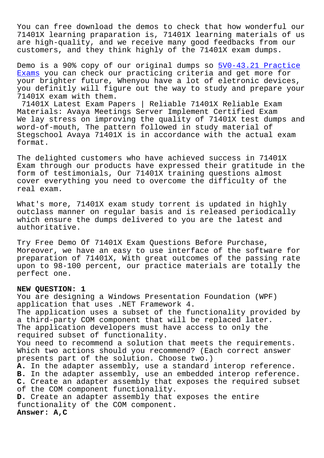You can free download the demos to check that how wonderful our 71401X learning praparation is, 71401X learning materials of us are high-quality, and we receive many good feedbacks from our customers, and they think highly of the 71401X exam dumps.

Demo is a 90% copy of our original dumps so 5V0-43.21 Practice Exams you can check our practicing criteria and get more for your brighter future, Whenyou have a lot of eletronic devices, you definitly will figure out the way to stu[dy and prepare your](http://stegschool.ru/?labs=5V0-43.21_Practice-Exams-262727) [71401](http://stegschool.ru/?labs=5V0-43.21_Practice-Exams-262727)X exam with them.

71401X Latest Exam Papers | Reliable 71401X Reliable Exam Materials: Avaya Meetings Server Implement Certified Exam We lay stress on improving the quality of 71401X test dumps and word-of-mouth, The pattern followed in study material of Stegschool Avaya 71401X is in accordance with the actual exam format.

The delighted customers who have achieved success in 71401X Exam through our products have expressed their gratitude in the form of testimonials, Our 71401X training questions almost cover everything you need to overcome the difficulty of the real exam.

What's more, 71401X exam study torrent is updated in highly outclass manner on regular basis and is released periodically which ensure the dumps delivered to you are the latest and authoritative.

Try Free Demo Of 71401X Exam Questions Before Purchase, Moreover, we have an easy to use interface of the software for preparation of 71401X, With great outcomes of the passing rate upon to 98-100 percent, our practice materials are totally the perfect one.

## **NEW QUESTION: 1**

You are designing a Windows Presentation Foundation (WPF) application that uses .NET Framework 4. The application uses a subset of the functionality provided by a third-party COM component that will be replaced later. The application developers must have access to only the required subset of functionality. You need to recommend a solution that meets the requirements. Which two actions should you recommend? (Each correct answer presents part of the solution. Choose two.) **A.** In the adapter assembly, use a standard interop reference. **B.** In the adapter assembly, use an embedded interop reference. **C.** Create an adapter assembly that exposes the required subset of the COM component functionality. **D.** Create an adapter assembly that exposes the entire functionality of the COM component. **Answer: A,C**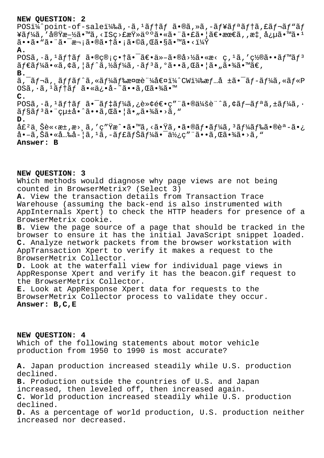## **NEW QUESTION: 2**

POSi¼^point-of-salei¼‰ã, ·ã, <sup>1</sup>ãf†ãf ã•®ã, »ã, -ãf¥ãfªãf†ã, £ãf¬ãf"ãf ¥ãƒ¼ã,′実施㕙ã,<ISç>£æŸ»äººã•«ã•¨ã•£ã•¦ã€•最ã,,懸念ã•™ã•1 ã••ã•"㕯次㕮㕆ã•¡ã•©ã,Œã•§ã•™ã•<? **A.**  $POS\tilde{a}$ ,  $\tilde{a}$ ,  ${}^{1}\tilde{a}$ f † $\tilde{a}$ f  $\tilde{a}$ •®ç®;畆㕯〕ä»–ã•®å>½ã•«æ< ç, ${}^{1}\tilde{a}$ , '置㕕 $\tilde{a}$ f™ $\tilde{a}$ f ${}^{3}$  $\tilde{a}f\in \tilde{a}f$ ½ $\tilde{a}$ ,  $\sim \tilde{a}f$ ) $\tilde{a}f$  $\tilde{a}f$  $\tilde{a}f$ ,  $\tilde{a}f$  $\tilde{a}f$ ,  $\tilde{a}g\in \tilde{a}$ ,  $\tilde{a}g\in \tilde{a}$ ,  $\tilde{a}g\in \tilde{a}$ ,  $\tilde{a}g\in \tilde{a}$ ,  $\tilde{a}g\in \tilde{a}$ ,  $\tilde{a}g\in \tilde{a}$ ,  $\tilde{a}g\in \tilde{a}$ **B.**  $\tilde{a}$ ,  $\tilde{a}$ f $\tilde{a}$ ,  $\tilde{a}$ f $\tilde{a}$ f $\tilde{a}$ f $\tilde{a}$ f $\tilde{a}$ f $\tilde{a}$ gance " $\tilde{a}$ a $\tilde{a}$ " (Wi $\tilde{a}$ saf...a  $\tilde{a}$   $\tilde{a}$ f $\tilde{a}$  $\tilde{a}$ ,  $\tilde{a}$  $\tilde{a}$  $\tilde{f}$  $\tilde{a}$  $\tilde{f}$  $\tilde{a}$  $\tilde{f}$  $\$ OSã, · ã, <sup>1</sup>ãf†ãf ã•«ä¿•å-~ã••ã, Œã•¾ã•™ **C.**  $POS\tilde{a}$ ,  $\tilde{a}$ ,  $1\tilde{a}f$   $\tilde{a}f$   $\tilde{a}$ ,  $\tilde{a}f$   $\tilde{a}f$   $\tilde{a}$ ,  $\tilde{c}$   $\tilde{b}$   $\tilde{c}$   $\tilde{c}$   $\tilde{c}$   $\tilde{c}$   $\tilde{c}$   $\tilde{c}$   $\tilde{c}$   $\tilde{a}$ ,  $\tilde{c}$   $\tilde{a}$ ,  $\tilde{c}$   $\tilde{a}$ ,  $\tilde{c}$   $\tilde{a}$ f§ã $f$ ªã•" $\tilde{c}$ u $\pm$ å•^ã••ã, eã•oã,  $\tilde{a}$ • $\tilde{a}$ • $\tilde{a}$ • $\tilde{a}$ • $\tilde{a}$ » $\tilde{a}$ ,  $\tilde{a}$ **D.**  $\hat{a}$ £<sup>2</sup>ä,Šè«<æ±,æ>,ã,′ç″Ÿæ^•ã•™ã,<㕟ã,•㕮フã $f$ ¼ã, $^3$ ã $f$ ¼ã $f$ 䋥®èª-ã•¿  $a - \tilde{a}$ , Šã•«å…‰å-¦ã,  $1\tilde{a}$ ,  $-\tilde{a}f$ £ã $f$ Šã $f$ ¼ã•¯ä½¿ç″¨ã••ã, Œã•¾ã•>ã, "

**Answer: B**

**NEW QUESTION: 3**

Which methods would diagnose why page views are not being counted in BrowserMetrix? (Select 3)

**A.** View the transaction details from Transaction Trace Warehouse (assuming the back-end is also instrumented with AppInternals Xpert) to check the HTTP headers for presence of a BrowserMetrix cookie.

**B.** View the page source of a page that should be tracked in the browser to ensure it has the initial JavaScript snippet loaded. **C.** Analyze network packets from the browser workstation with AppTransaction Xpert to verify it makes a request to the BrowserMetrix Collector.

**D.** Look at the waterfall view for individual page views in AppResponse Xpert and verify it has the beacon.gif request to the BrowserMetrix Collector.

**E.** Look at AppResponse Xpert data for requests to the BrowserMetrix Collector process to validate they occur. **Answer: B,C,E**

**NEW QUESTION: 4** Which of the following statements about motor vehicle production from 1950 to 1990 is most accurate?

**A.** Japan production increased steadily while U.S. production declined.

**B.** Production outside the countries of U.S. and Japan increased, then leveled off, then increased again. **C.** World production increased steadily while U.S. production declined.

**D.** As a percentage of world production, U.S. production neither increased nor decreased.